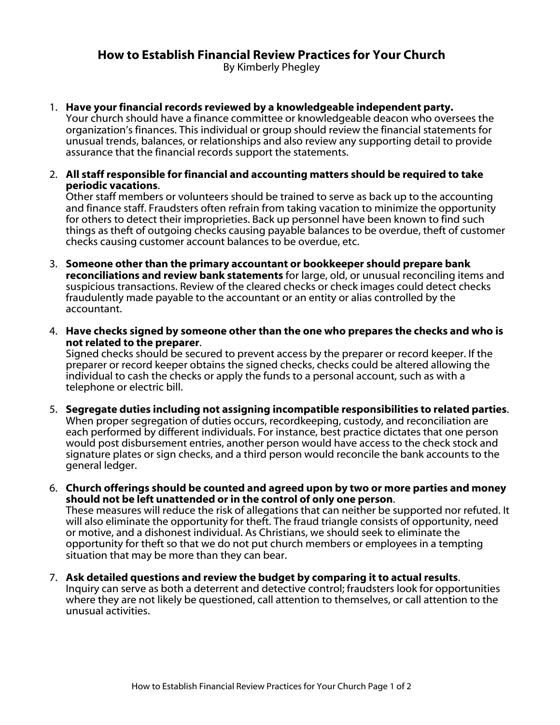## **How to Establish Financial Review Practices for Your Church**

By Kimberly Phegley

1. **Have your financial records reviewed by a knowledgeable independent party.**

Your church should have a finance committee or knowledgeable deacon who oversees the organization's finances. This individual or group should review the financial statements for unusual trends, balances, or relationships and also review any supporting detail to provide assurance that the financial records support the statements.

2. **All staff responsible for financial and accounting matters should be required to take periodic vacations**.

Other staff members or volunteers should be trained to serve as back up to the accounting and finance staff. Fraudsters often refrain from taking vacation to minimize the opportunity for others to detect their improprieties. Back up personnel have been known to find such things as theft of outgoing checks causing payable balances to be overdue, theft of customer checks causing customer account balances to be overdue, etc.

- 3. **Someone other than the primary accountant or bookkeeper should prepare bank reconciliations and review bank statements** for large, old, or unusual reconciling items and suspicious transactions. Review of the cleared checks or check images could detect checks fraudulently made payable to the accountant or an entity or alias controlled by the accountant.
- 4. **Have checks signed by someone other than the one who prepares the checks and who is not related to the preparer**.

Signed checks should be secured to prevent access by the preparer or record keeper. If the preparer or record keeper obtains the signed checks, checks could be altered allowing the individual to cash the checks or apply the funds to a personal account, such as with a telephone or electric bill.

- 5. **Segregate duties including not assigning incompatible responsibilities to related parties**. When proper segregation of duties occurs, recordkeeping, custody, and reconciliation are each performed by different individuals. For instance, best practice dictates that one person would post disbursement entries, another person would have access to the check stock and signature plates or sign checks, and a third person would reconcile the bank accounts to the general ledger.
- 6. **Church offerings should be counted and agreed upon by two or more parties and money should not be left unattended or in the control of only one person**. These measures will reduce the risk of allegations that can neither be supported nor refuted. It will also eliminate the opportunity for theft. The fraud triangle consists of opportunity, need or motive, and a dishonest individual. As Christians, we should seek to eliminate the opportunity for theft so that we do not put church members or employees in a tempting situation that may be more than they can bear.
- 7. **Ask detailed questions and review the budget by comparing it to actual results**. Inquiry can serve as both a deterrent and detective control; fraudsters look for opportunities where they are not likely be questioned, call attention to themselves, or call attention to the unusual activities.